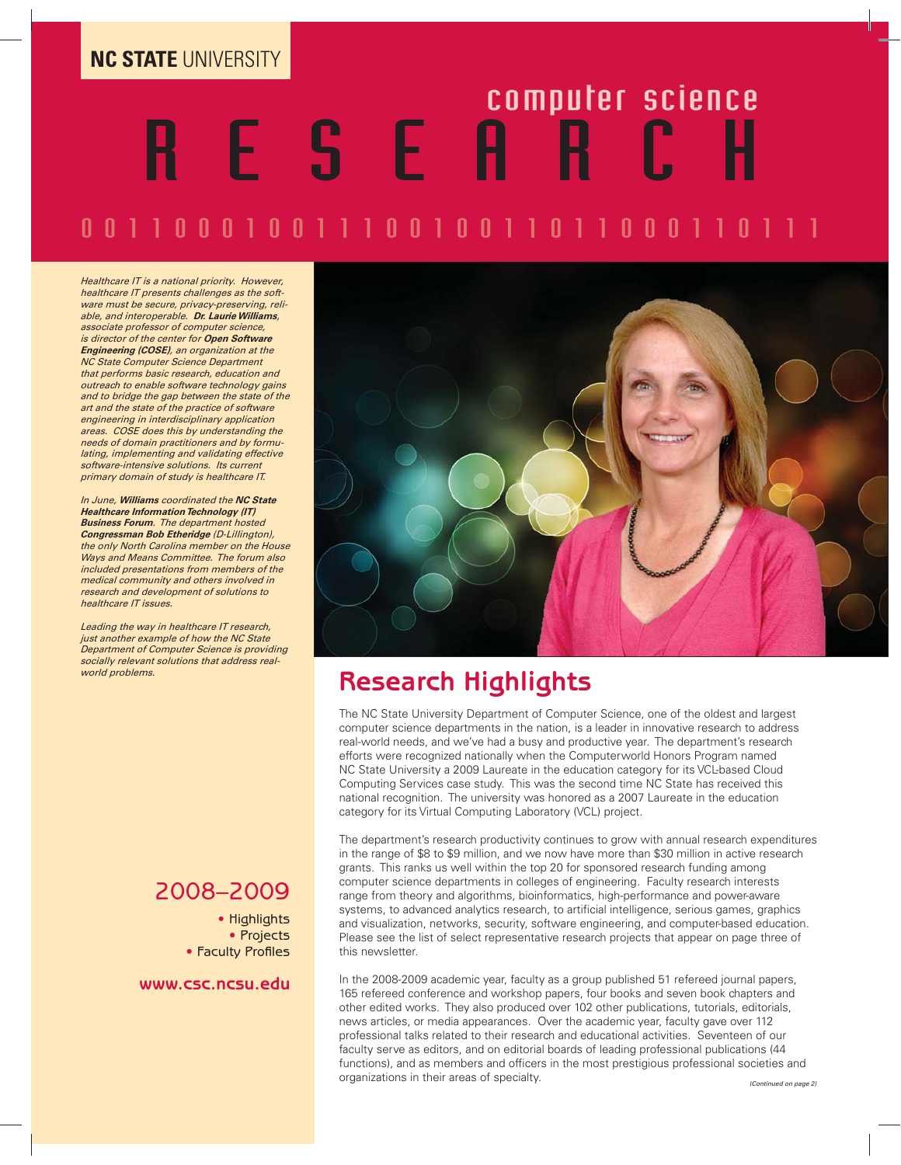# **NC STATE** UNIVERSITY

# ATEUNIVERSITY<br>RESERTE SOMPUTER SCIENCE

# 00110001100110011000110

*Healthcare IT is a national priority. However, healthcare IT presents challenges as the software must be secure, privacy-preserving, reli-able, and interoperable. Dr. Laurie Williams, associate professor of computer science, is director of the center for Open Software Engineering (COSE), an organization at the NC State Computer Science Department that performs basic research, education and outreach to enable software technology gains and to bridge the gap between the state of the art and the state of the practice of software engineering in interdisciplinary application areas. COSE does this by understanding the needs of domain practitioners and by formulating, implementing and validating effective software-intensive solutions. Its current primary domain of study is healthcare IT.*

*In June, Williams coordinated the NC State Healthcare Information Technology (IT) Business Forum. The department hosted Congressman Bob Etheridge (D-Lillington), the only North Carolina member on the House Ways and Means Committee. The forum also included presentations from members of the medical community and others involved in research and development of solutions to healthcare IT issues.*

*Leading the way in healthcare IT research, just another example of how the NC State Department of Computer Science is providing socially relevant solutions that address realworld problems.*

# 2008–2009

• Highlights • Projects • Faculty Profiles

**www.csc.ncsu.edu**



# **Research Highlights**

The NC State University Department of Computer Science, one of the oldest and largest computer science departments in the nation, is a leader in innovative research to address real-world needs, and we've had a busy and productive year. The department's research efforts were recognized nationally when the Computerworld Honors Program named NC State University a 2009 Laureate in the education category for its VCL-based Cloud Computing Services case study. This was the second time NC State has received this national recognition. The university was honored as a 2007 Laureate in the education category for its Virtual Computing Laboratory (VCL) project.

The department's research productivity continues to grow with annual research expenditures in the range of \$8 to \$9 million, and we now have more than \$30 million in active research grants. This ranks us well within the top 20 for sponsored research funding among computer science departments in colleges of engineering. Faculty research interests range from theory and algorithms, bioinformatics, high-performance and power-aware systems, to advanced analytics research, to artificial intelligence, serious games, graphics and visualization, networks, security, software engineering, and computer-based education. Please see the list of select representative research projects that appear on page three of this newsletter.

In the 2008-2009 academic year, faculty as a group published 51 refereed journal papers, 165 refereed conference and workshop papers, four books and seven book chapters and other edited works. They also produced over 102 other publications, tutorials, editorials, news articles, or media appearances. Over the academic year, faculty gave over 112 professional talks related to their research and educational activities. Seventeen of our faculty serve as editors, and on editorial boards of leading professional publications (44 functions), and as members and officers in the most prestigious professional societies and organizations in their areas of specialty. *(Continued on page 2)*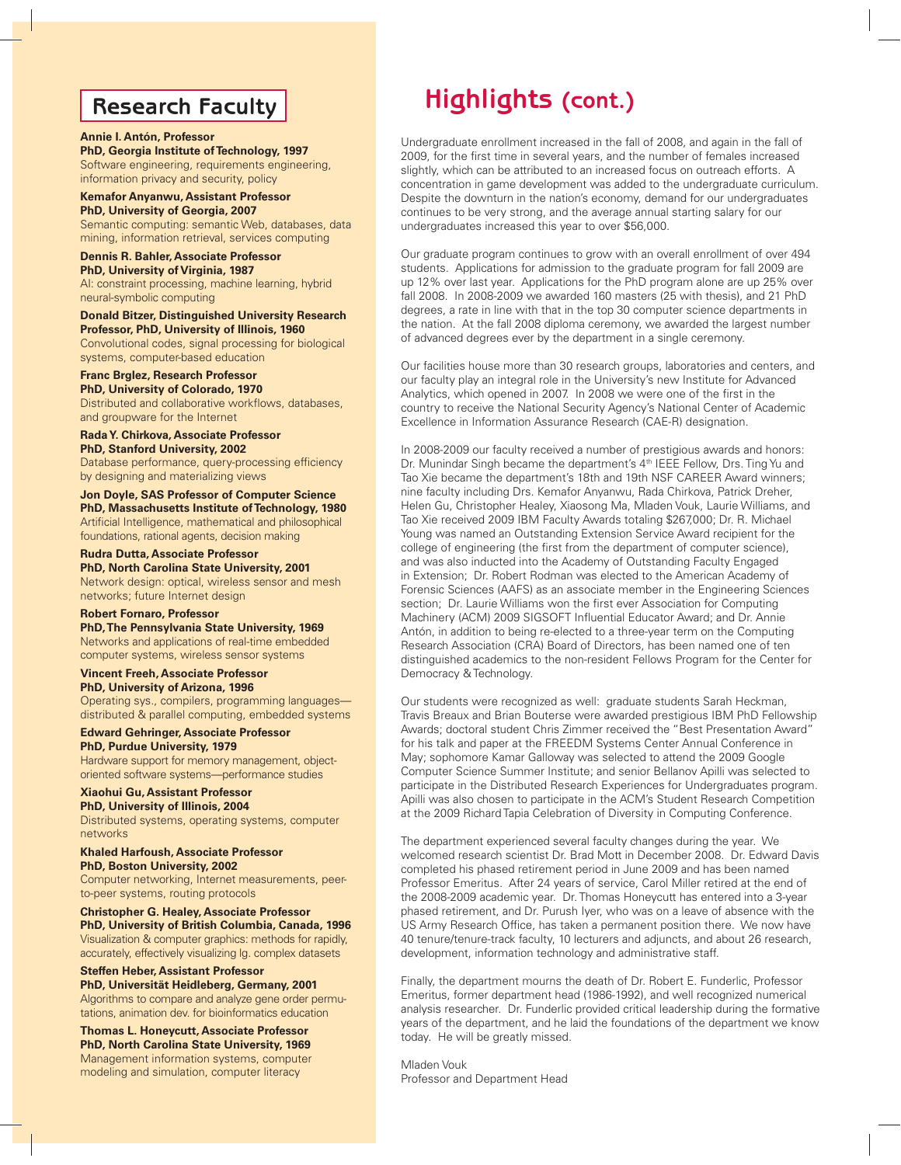# **Research Faculty**

### **Annie I. Antón, Professor**

**PhD, Georgia Institute of Technology, 1997** Software engineering, requirements engineering, information privacy and security, policy

### **Kemafor Anyanwu, Assistant Professor PhD, University of Georgia, 2007** Semantic computing: semantic Web, databases, data

mining, information retrieval, services computing

### **Dennis R. Bahler, Associate Professor PhD, University of Virginia, 1987**

AI: constraint processing, machine learning, hybrid neural-symbolic computing

### **Donald Bitzer, Distinguished University Research Professor, PhD, University of Illinois, 1960**

Convolutional codes, signal processing for biological systems, computer-based education

### **Franc Brglez, Research Professor**

**PhD, University of Colorado, 1970** Distributed and collaborative workflows, databases, and groupware for the Internet

# **Rada Y. Chirkova, Associate Professor**

**PhD, Stanford University, 2002** Database performance, query-processing efficiency by designing and materializing views

### **Jon Doyle, SAS Professor of Computer Science PhD, Massachusetts Institute of Technology, 1980**

Artificial Intelligence, mathematical and philosophical foundations, rational agents, decision making

### **Rudra Dutta, Associate Professor**

**PhD, North Carolina State University, 2001** Network design: optical, wireless sensor and mesh networks; future Internet design

### **Robert Fornaro, Professor**

**PhD, The Pennsylvania State University, 1969** Networks and applications of real-time embedded computer systems, wireless sensor systems

### **Vincent Freeh, Associate Professor PhD, University of Arizona, 1996**

Operating sys., compilers, programming languages distributed & parallel computing, embedded systems

### **Edward Gehringer, Associate Professor PhD, Purdue University, 1979** Hardware support for memory management, object-

oriented software systems—performance studies

## **Xiaohui Gu, Assistant Professor**

**PhD, University of Illinois, 2004** Distributed systems, operating systems, computer networks

# **Khaled Harfoush, Associate Professor**

**PhD, Boston University, 2002** Computer networking, Internet measurements, peerto-peer systems, routing protocols

### **Christopher G. Healey, Associate Professor PhD, University of British Columbia, Canada, 1996** Visualization & computer graphics: methods for rapidly, accurately, effectively visualizing lg. complex datasets

## **Steffen Heber, Assistant Professor PhD, Universität Heidleberg, Germany, 2001**

Algorithms to compare and analyze gene order permutations, animation dev. for bioinformatics education

**Thomas L. Honeycutt, Associate Professor PhD, North Carolina State University, 1969** Management information systems, computer modeling and simulation, computer literacy

# **Highlights (cont.)**

Undergraduate enrollment increased in the fall of 2008, and again in the fall of 2009, for the first time in several years, and the number of females increased slightly, which can be attributed to an increased focus on outreach efforts. A concentration in game development was added to the undergraduate curriculum. Despite the downturn in the nation's economy, demand for our undergraduates continues to be very strong, and the average annual starting salary for our undergraduates increased this year to over \$56,000.

Our graduate program continues to grow with an overall enrollment of over 494 students. Applications for admission to the graduate program for fall 2009 are up 12% over last year. Applications for the PhD program alone are up 25% over fall 2008. In 2008-2009 we awarded 160 masters (25 with thesis), and 21 PhD degrees, a rate in line with that in the top 30 computer science departments in the nation. At the fall 2008 diploma ceremony, we awarded the largest number of advanced degrees ever by the department in a single ceremony.

Our facilities house more than 30 research groups, laboratories and centers, and our faculty play an integral role in the University's new Institute for Advanced Analytics, which opened in 2007. In 2008 we were one of the first in the country to receive the National Security Agency's National Center of Academic Excellence in Information Assurance Research (CAE-R) designation.

In 2008-2009 our faculty received a number of prestigious awards and honors: Dr. Munindar Singh became the department's 4<sup>th</sup> IEEE Fellow, Drs. Ting Yu and Tao Xie became the department's 18th and 19th NSF CAREER Award winners; nine faculty including Drs. Kemafor Anyanwu, Rada Chirkova, Patrick Dreher, Helen Gu, Christopher Healey, Xiaosong Ma, Mladen Vouk, Laurie Williams, and Tao Xie received 2009 IBM Faculty Awards totaling \$267,000; Dr. R. Michael Young was named an Outstanding Extension Service Award recipient for the college of engineering (the first from the department of computer science), and was also inducted into the Academy of Outstanding Faculty Engaged in Extension; Dr. Robert Rodman was elected to the American Academy of Forensic Sciences (AAFS) as an associate member in the Engineering Sciences section; Dr. Laurie Williams won the first ever Association for Computing Machinery (ACM) 2009 SIGSOFT Influential Educator Award; and Dr. Annie Antón, in addition to being re-elected to a three-year term on the Computing Research Association (CRA) Board of Directors, has been named one of ten distinguished academics to the non-resident Fellows Program for the Center for Democracy & Technology.

Our students were recognized as well: graduate students Sarah Heckman, Travis Breaux and Brian Bouterse were awarded prestigious IBM PhD Fellowship Awards; doctoral student Chris Zimmer received the "Best Presentation Award" for his talk and paper at the FREEDM Systems Center Annual Conference in May; sophomore Kamar Galloway was selected to attend the 2009 Google Computer Science Summer Institute; and senior Bellanov Apilli was selected to participate in the Distributed Research Experiences for Undergraduates program. Apilli was also chosen to participate in the ACM's Student Research Competition at the 2009 Richard Tapia Celebration of Diversity in Computing Conference.

The department experienced several faculty changes during the year. We welcomed research scientist Dr. Brad Mott in December 2008. Dr. Edward Davis completed his phased retirement period in June 2009 and has been named Professor Emeritus. After 24 years of service, Carol Miller retired at the end of the 2008-2009 academic year. Dr. Thomas Honeycutt has entered into a 3-year phased retirement, and Dr. Purush Iyer, who was on a leave of absence with the US Army Research Office, has taken a permanent position there. We now have 40 tenure/tenure-track faculty, 10 lecturers and adjuncts, and about 26 research, development, information technology and administrative staff.

Finally, the department mourns the death of Dr. Robert E. Funderlic, Professor Emeritus, former department head (1986-1992), and well recognized numerical analysis researcher. Dr. Funderlic provided critical leadership during the formative years of the department, and he laid the foundations of the department we know today. He will be greatly missed.

Mladen Vouk Professor and Department Head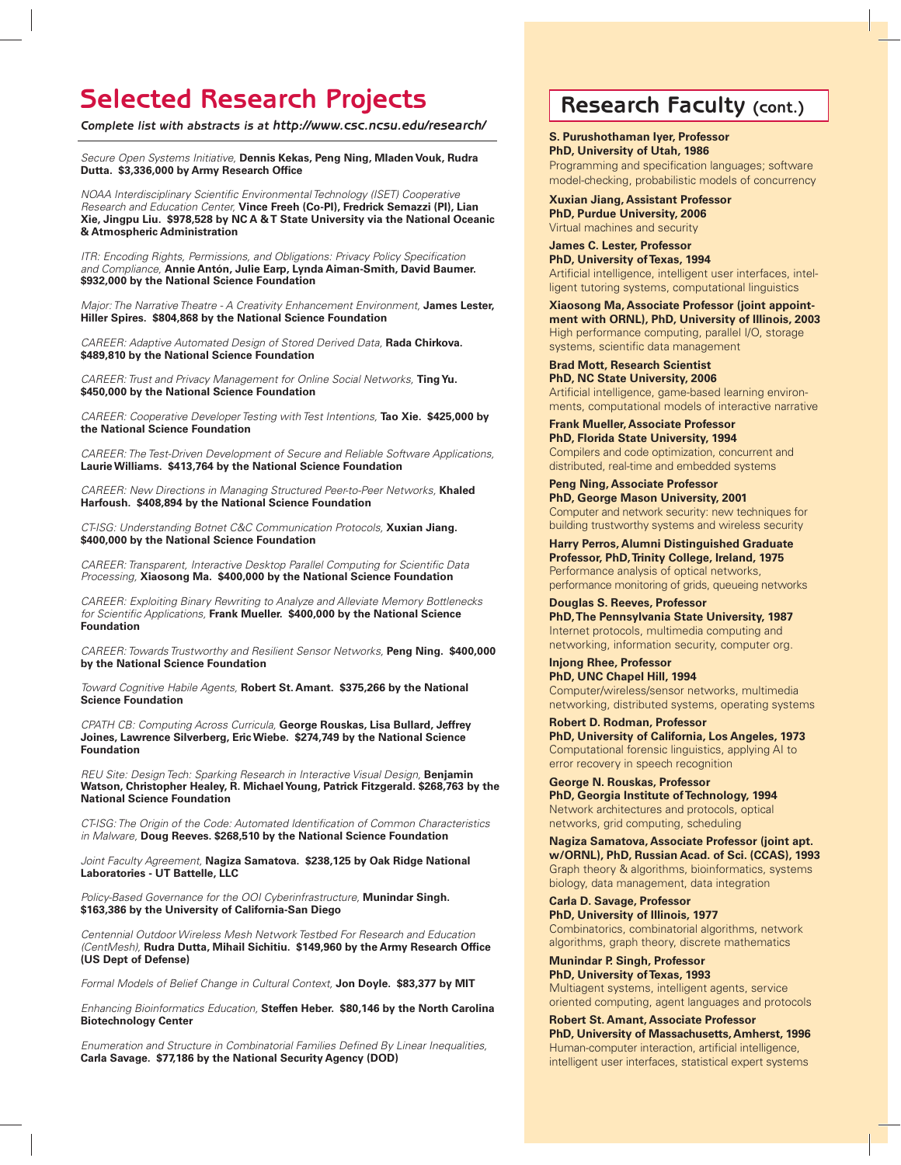# **Selected Research Projects Research Faculty (cont.)**

*Complete list with abstracts is at http://www.csc.ncsu.edu/research/*

Secure Open Systems Initiative, **Dennis Kekas, Peng Ning, Mladen Vouk, Rudra**  Dutta. \$3,336,000 by Army Research Office

NOAA Interdisciplinary Scientific Environmental Technology (ISET) Cooperative Research and Education Center, **Vince Freeh (Co-PI), Fredrick Semazzi (PI), Lian Xie, Jingpu Liu. \$978,528 by NC A & T State University via the National Oceanic & Atmospheric Administration**

ITR: Encoding Rights, Permissions, and Obligations: Privacy Policy Specification and Compliance, **Annie Antón, Julie Earp, Lynda Aiman-Smith, David Baumer. \$932,000 by the National Science Foundation**

Major: The Narrative Theatre - A Creativity Enhancement Environment, **James Lester, Hiller Spires. \$804,868 by the National Science Foundation**

CAREER: Adaptive Automated Design of Stored Derived Data, **Rada Chirkova. \$489,810 by the National Science Foundation**

CAREER: Trust and Privacy Management for Online Social Networks, **Ting Yu. \$450,000 by the National Science Foundation**

CAREER: Cooperative Developer Testing with Test Intentions, **Tao Xie. \$425,000 by the National Science Foundation**

CAREER: The Test-Driven Development of Secure and Reliable Software Applications, **Laurie Williams. \$413,764 by the National Science Foundation**

CAREER: New Directions in Managing Structured Peer-to-Peer Networks, **Khaled Harfoush. \$408,894 by the National Science Foundation**

CT-ISG: Understanding Botnet C&C Communication Protocols, **Xuxian Jiang. \$400,000 by the National Science Foundation**

CAREER: Transparent, Interactive Desktop Parallel Computing for Scientific Data Processing, **Xiaosong Ma. \$400,000 by the National Science Foundation**

CAREER: Exploiting Binary Rewriting to Analyze and Alleviate Memory Bottlenecks for Scientific Applications, Frank Mueller. \$400,000 by the National Science **Foundation** 

CAREER: Towards Trustworthy and Resilient Sensor Networks, **Peng Ning. \$400,000 by the National Science Foundation**

Toward Cognitive Habile Agents, **Robert St. Amant. \$375,266 by the National Science Foundation** 

CPATH CB: Computing Across Curricula, **George Rouskas, Lisa Bullard, Jeffrey Joines, Lawrence Silverberg, Eric Wiebe. \$274,749 by the National Science Foundation**

REU Site: Design Tech: Sparking Research in Interactive Visual Design, **Benjamin Watson, Christopher Healey, R. Michael Young, Patrick Fitzgerald. \$268,763 by the National Science Foundation**

CT-ISG: The Origin of the Code: Automated Identification of Common Characteristics in Malware, **Doug Reeves. \$268,510 by the National Science Foundation**

Joint Faculty Agreement, **Nagiza Samatova. \$238,125 by Oak Ridge National Laboratories - UT Battelle, LLC** 

Policy-Based Governance for the OOI Cyberinfrastructure, **Munindar Singh. \$163,386 by the University of California-San Diego**

Centennial Outdoor Wireless Mesh Network Testbed For Research and Education (CentMesh), Rudra Dutta, Mihail Sichitiu. \$149,960 by the Army Research Office **(US Dept of Defense)**

Formal Models of Belief Change in Cultural Context, **Jon Doyle. \$83,377 by MIT**

Enhancing Bioinformatics Education, **Steffen Heber. \$80,146 by the North Carolina Biotechnology Center**

Enumeration and Structure in Combinatorial Families Defined By Linear Inequalities, **Carla Savage. \$77,186 by the National Security Agency (DOD)**

**S. Purushothaman Iyer, Professor PhD, University of Utah, 1986** Programming and specification languages; software

model-checking, probabilistic models of concurrency **Xuxian Jiang, Assistant Professor**

**PhD, Purdue University, 2006** Virtual machines and security

**James C. Lester, Professor PhD, University of Texas, 1994** Artificial intelligence, intelligent user interfaces, intelligent tutoring systems, computational linguistics

**Xiaosong Ma, Associate Professor (joint appointment with ORNL), PhD, University of Illinois, 2003** High performance computing, parallel I/O, storage systems, scientific data management

**Brad Mott, Research Scientist PhD, NC State University, 2006** Artificial intelligence, game-based learning environments, computational models of interactive narrative

**Frank Mueller, Associate Professor PhD, Florida State University, 1994** Compilers and code optimization, concurrent and distributed, real-time and embedded systems

**Peng Ning, Associate Professor PhD, George Mason University, 2001** Computer and network security: new techniques for building trustworthy systems and wireless security

**Harry Perros, Alumni Distinguished Graduate Professor, PhD, Trinity College, Ireland, 1975** Performance analysis of optical networks, performance monitoring of grids, queueing networks

**Douglas S. Reeves, Professor PhD, The Pennsylvania State University, 1987** Internet protocols, multimedia computing and networking, information security, computer org.

**Injong Rhee, Professor PhD, UNC Chapel Hill, 1994** Computer/wireless/sensor networks, multimedia networking, distributed systems, operating systems

**Robert D. Rodman, Professor PhD, University of California, Los Angeles, 1973** Computational forensic linguistics, applying AI to error recovery in speech recognition

**George N. Rouskas, Professor PhD, Georgia Institute of Technology, 1994** Network architectures and protocols, optical networks, grid computing, scheduling

**Nagiza Samatova, Associate Professor (joint apt. w/ORNL), PhD, Russian Acad. of Sci. (CCAS), 1993** Graph theory & algorithms, bioinformatics, systems biology, data management, data integration

**Carla D. Savage, Professor PhD, University of Illinois, 1977** Combinatorics, combinatorial algorithms, network algorithms, graph theory, discrete mathematics

**Munindar P. Singh, Professor PhD, University of Texas, 1993** Multiagent systems, intelligent agents, service oriented computing, agent languages and protocols

**Robert St. Amant, Associate Professor PhD, University of Massachusetts, Amherst, 1996** Human-computer interaction, artificial intelligence, intelligent user interfaces, statistical expert systems